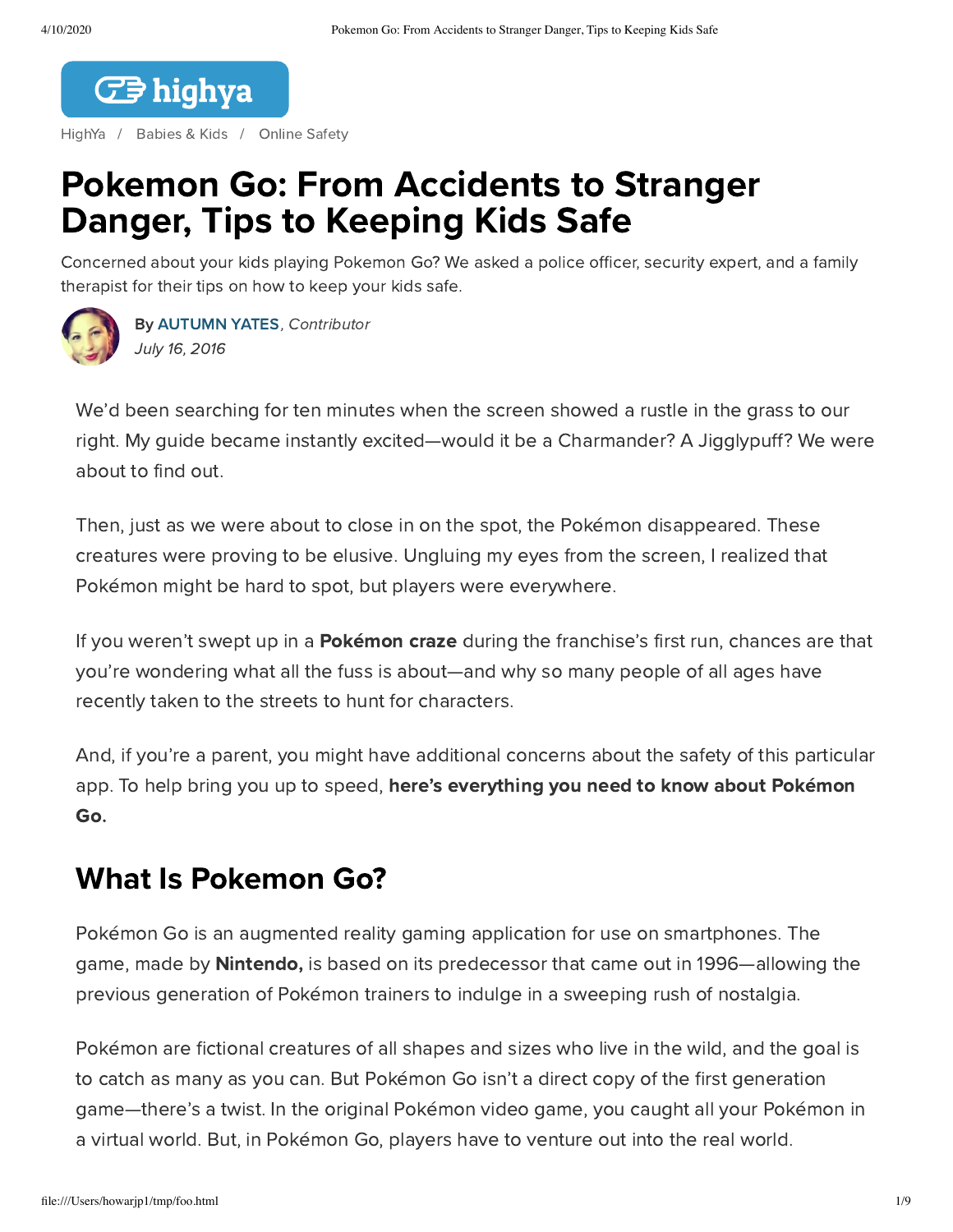

[HighYa](https://www.highya.com/) / [Babies](https://www.highya.com/babies-and-kids) & Kids / [Online](https://www.highya.com/babies-and-kids/online-safety) Safety

# Pokemon Go: From Accidents to Stranger Danger, Tips to Keeping Kids Safe

Concerned about your kids playing Pokemon Go? We asked a police officer, security expert, and a family therapist for their tips on how to keep your kids safe.



By [AUTUMN](https://www.highya.com/about-highya/our-team/highya-research-team) YATES, Contributor July 16, 2016

We'd been searching for ten minutes when the screen showed a rustle in the grass to our right. My guide became instantly excited—would it be a Charmander? A Jigglypuff? We were about to find out.

Then, just as we were about to close in on the spot, the Pokémon disappeared. These creatures were proving to be elusive. Ungluing my eyes from the screen, I realized that Pokémon might be hard to spot, but players were everywhere.

If you weren't swept up in a **Pokémon craze** during the franchise's first run, chances are that you're wondering what all the fuss is about—and why so many people of all ages have recently taken to the streets to hunt for characters.

And, if you're a parent, you might have additional concerns about the safety of this particular app. To help bring you up to speed, here's everything you need to know about Pokémon Go.

## What Is Pokemon Go?

Pokémon Go is an augmented reality gaming application for use on smartphones. The game, made by **Nintendo**, is based on its predecessor that came out in 1996—allowing the previous generation of Pokémon trainers to indulge in a sweeping rush of nostalgia.

Pokémon are fictional creatures of all shapes and sizes who live in the wild, and the goal is to catch as many as you can. But Pokémon Go isn't a direct copy of the first generation game—there's a twist. In the original Pokémon video game, you caught all your Pokémon in a virtual world. But, in Pokémon Go, players have to venture out into the real world.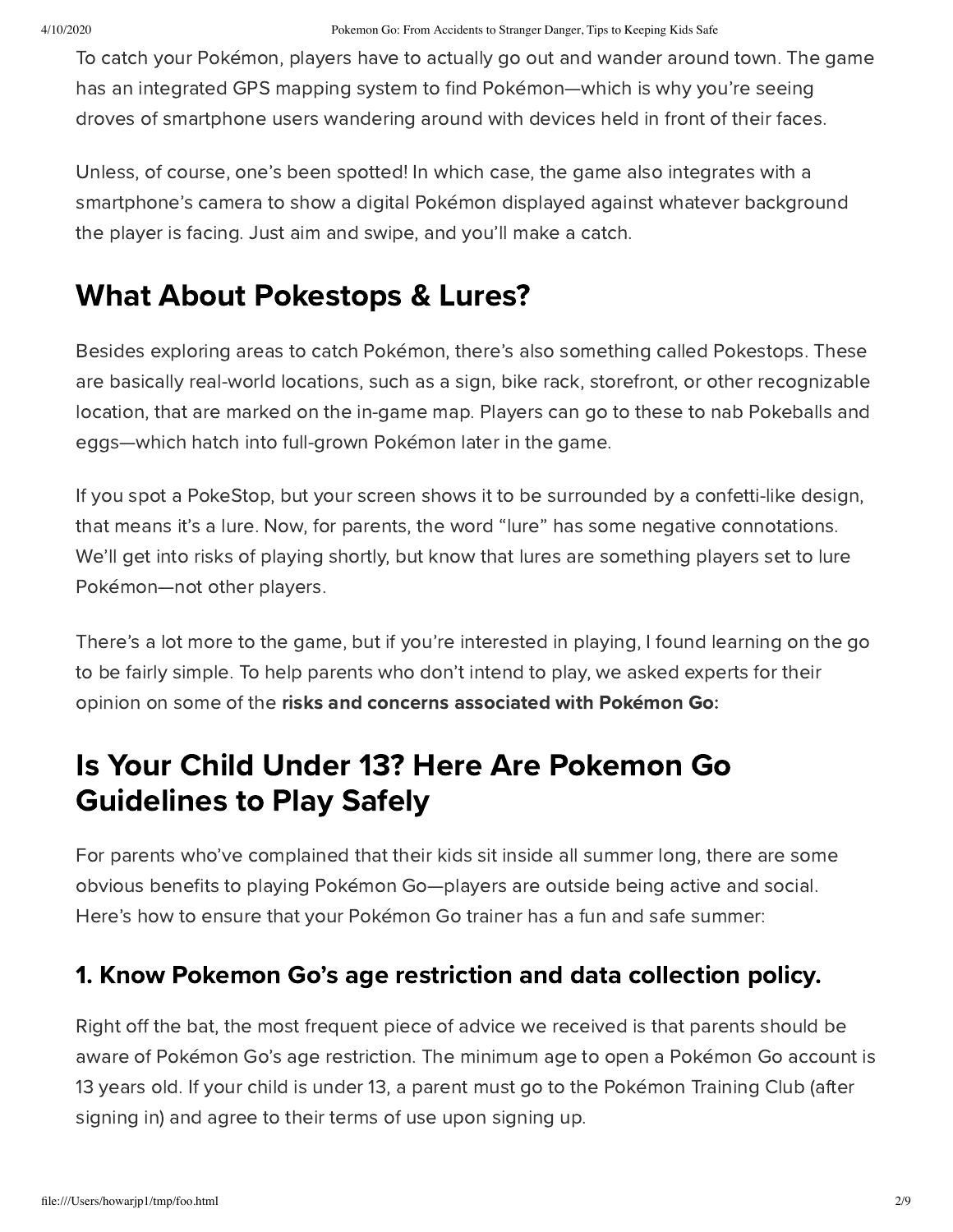To catch your Pokémon, players have to actually go out and wander around town. The game has an integrated GPS mapping system to find Pokémon—which is why you're seeing droves of smartphone users wandering around with devices held in front of their faces.

Unless, of course, one's been spotted! In which case, the game also integrates with a smartphone's camera to show a digital Pokémon displayed against whatever background the player is facing. Just aim and swipe, and you'll make a catch.

## What About Pokestops & Lures?

Besides exploring areas to catch Pokémon, there's also something called Pokestops. These are basically real-world locations, such as a sign, bike rack, storefront, or other recognizable location, that are marked on the in-game map. Players can go to these to nab Pokeballs and eggs—which hatch into full-grown Pokémon later in the game.

If you spot a PokeStop, but your screen shows it to be surrounded by a confetti-like design, that means it's a lure. Now, for parents, the word "lure" has some negative connotations. We'll get into risks of playing shortly, but know that lures are something players set to lure Pokémon—not other players.

There's a lot more to the game, but if you're interested in playing, I found learning on the go to be fairly simple. To help parents who don't intend to play, we asked experts for their opinion on some of the risks and concerns associated with Pokémon Go:

# Is Your Child Under 13? Here Are Pokemon Go Guidelines to Play Safely

For parents who've complained that their kids sit inside all summer long, there are some obvious benefits to playing Pokémon Go—players are outside being active and social. Here's how to ensure that your Pokémon Go trainer has a fun and safe summer:

### 1. Know Pokemon Go's age restriction and data collection policy.

Right off the bat, the most frequent piece of advice we received is that parents should be aware of Pokémon Go's age restriction. The minimum age to open a Pokémon Go account is 13 years old. If your child is under 13, a parent must go to the Pokémon Training Club (after signing in) and agree to their terms of use upon signing up.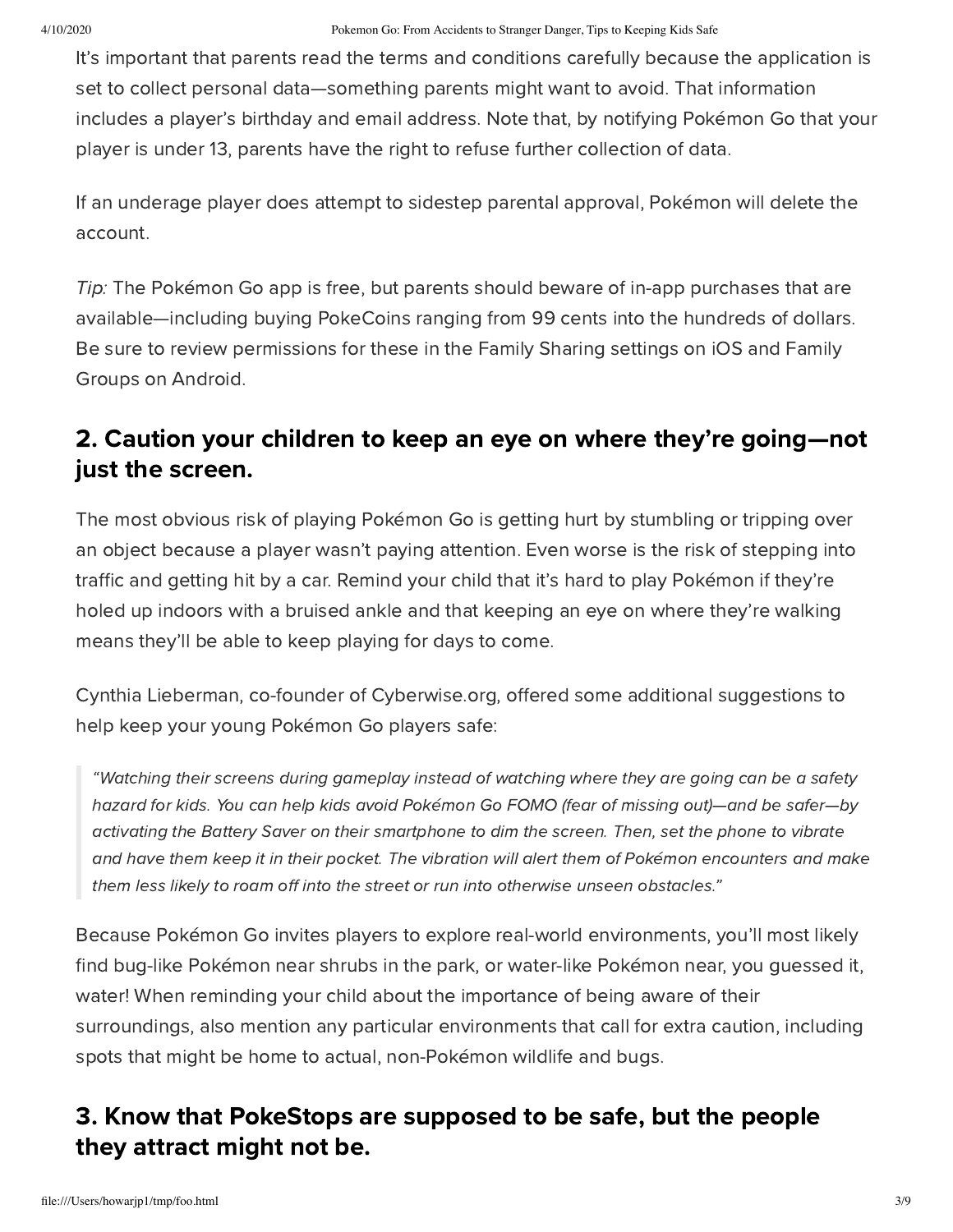It's important that parents read the terms and conditions carefully because the application is set to collect personal data—something parents might want to avoid. That information includes a player's birthday and email address. Note that, by notifying Pokémon Go that your player is under 13, parents have the right to refuse further collection of data.

If an underage player does attempt to sidestep parental approval, Pokémon will delete the account.

Tip: The Pokémon Go app is free, but parents should beware of in-app purchases that are available—including buying PokeCoins ranging from 99 cents into the hundreds of dollars. Be sure to review permissions for these in the Family Sharing settings on iOS and Family Groups on Android.

### 2. Caution your children to keep an eye on where they're going—not just the screen.

The most obvious risk of playing Pokémon Go is getting hurt by stumbling or tripping over an object because a player wasn't paying attention. Even worse is the risk of stepping into traffic and getting hit by a car. Remind your child that it's hard to play Pokémon if they're holed up indoors with a bruised ankle and that keeping an eye on where they're walking means they'll be able to keep playing for days to come.

Cynthia Lieberman, co-founder of Cyberwise.org, offered some additional suggestions to help keep your young Pokémon Go players safe:

"Watching their screens during gameplay instead of watching where they are going can be a safety hazard for kids. You can help kids avoid Pokémon Go FOMO (fear of missing out)—and be safer—by activating the Battery Saver on their smartphone to dim the screen. Then, set the phone to vibrate and have them keep it in their pocket. The vibration will alert them of Pokémon encounters and make them less likely to roam off into the street or run into otherwise unseen obstacles."

Because Pokémon Go invites players to explore real-world environments, you'll most likely find bug-like Pokémon near shrubs in the park, or water-like Pokémon near, you guessed it, water! When reminding your child about the importance of being aware of their surroundings, also mention any particular environments that call for extra caution, including spots that might be home to actual, non-Pokémon wildlife and bugs.

### 3. Know that PokeStops are supposed to be safe, but the people they attract might not be.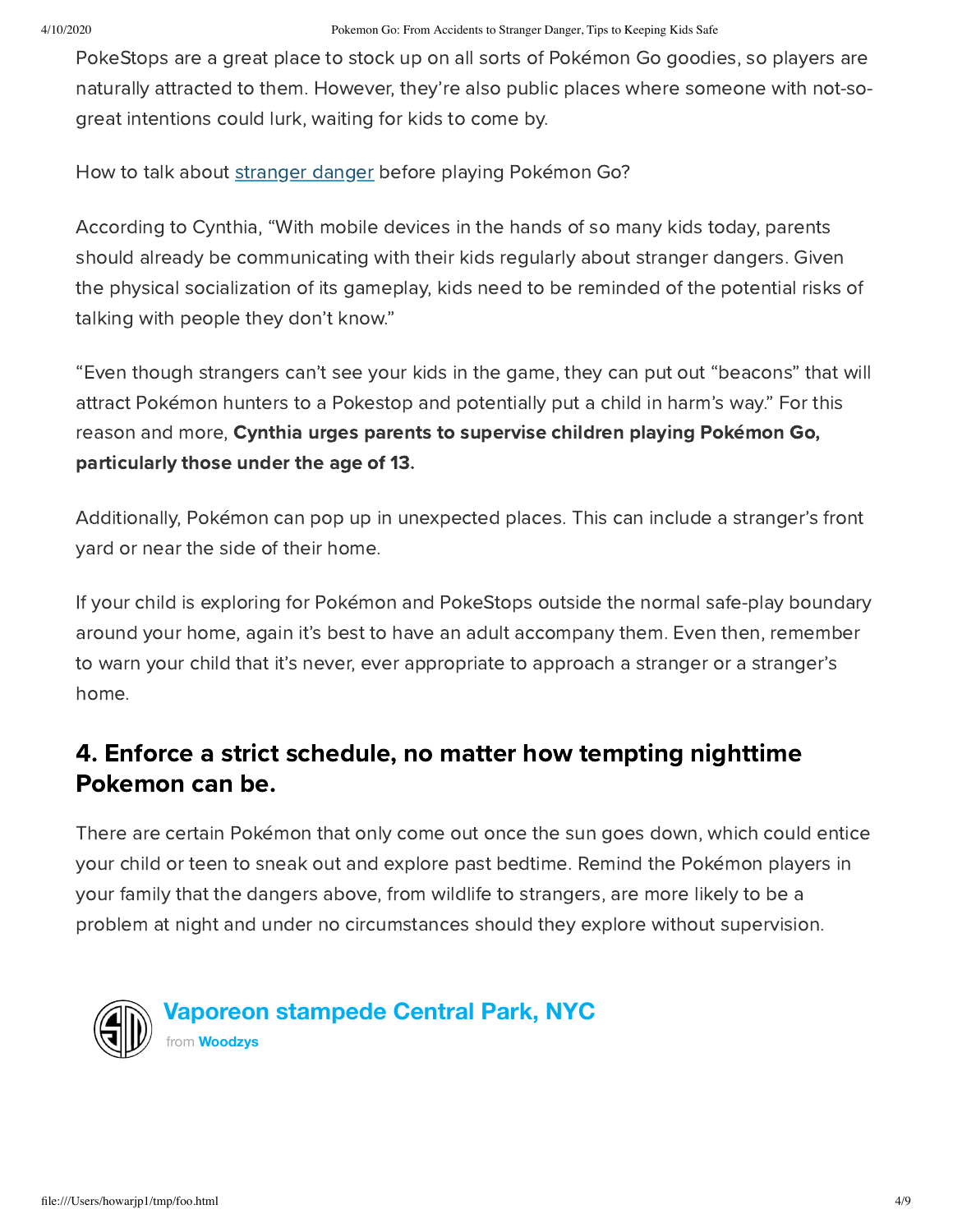PokeStops are a great place to stock up on all sorts of Pokémon Go goodies, so players are naturally attracted to them. However, they're also public places where someone with not-sogreat intentions could lurk, waiting for kids to come by.

How to talk about [stranger](https://www.highya.com/articles-guides/stranger-danger-protecting-your-children-from-cyber-bullying-sexting-and-social-media) danger before playing Pokémon Go?

According to Cynthia, "With mobile devices in the hands of so many kids today, parents should already be communicating with their kids regularly about stranger dangers. Given the physical socialization of its gameplay, kids need to be reminded of the potential risks of talking with people they don't know."

"Even though strangers can't see your kids in the game, they can put out "beacons" that will attract Pokémon hunters to a Pokestop and potentially put a child in harm's way." For this reason and more, Cynthia urges parents to supervise children playing Pokémon Go, particularly those under the age of 13.

Additionally, Pokémon can pop up in unexpected places. This can include a stranger's front yard or near the side of their home.

If your child is exploring for Pokémon and PokeStops outside the normal safe-play boundary around your home, again it's best to have an adult accompany them. Even then, remember to warn your child that it's never, ever appropriate to approach a stranger or a stranger's home.

### 4. Enforce a strict schedule, no matter how tempting nighttime Pokemon can be.

There are certain Pokémon that only come out once the sun goes down, which could entice your child or teen to sneak out and explore past bedtime. Remind the Pokémon players in your family that the dangers above, from wildlife to strangers, are more likely to be a problem at night and under no circumstances should they explore without supervision.



**Vaporeon [stampede](https://vimeo.com/174821377) Central Park, NYC**

from **[Woodzys](https://vimeo.com/user54403736)**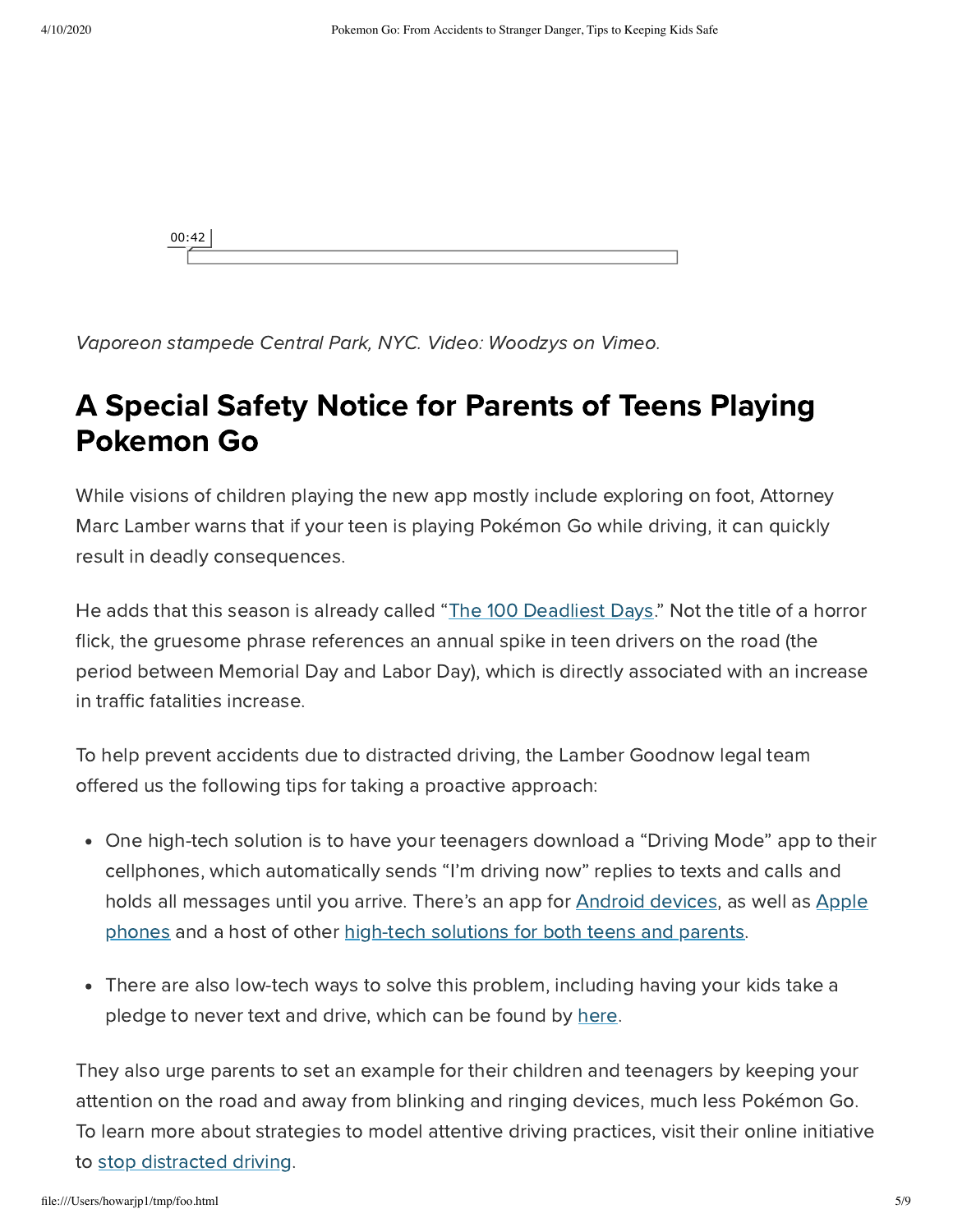

Vaporeon stampede Central Park, NYC. Video: Woodzys on Vimeo.

## A Special Safety Notice for Parents of Teens Playing Pokemon Go

While visions of children playing the new app mostly include exploring on foot, Attorney Marc Lamber warns that if your teen is playing Pokémon Go while driving, it can quickly result in deadly consequences.

He adds that this season is already called "The 100 [Deadliest](https://www.getitc.com/content/2016/05/12/the-deadliest-driving-season-for-teens) Days." Not the title of a horror flick, the gruesome phrase references an annual spike in teen drivers on the road (the period between Memorial Day and Labor Day), which is directly associated with an increase in traffic fatalities increase.

To help prevent accidents due to distracted driving, the Lamber Goodnow legal team offered us the following tips for taking a proactive approach:

- One high-tech solution is to have your teenagers download a "Driving Mode" app to their cellphones, which automatically sends "I'm driving now" replies to texts and calls and holds all [messages](https://itunes.apple.com/us/app/drivesafe-mode/id491938115?mt=8) until you arrive. There's an app for [Android](https://play.google.com/store/apps/details?id=com.funayman.drivingMode&hl=en) devices, as well as Apple phones and a host of other [high-tech](https://lambergoodnow.com/keeping-track-of-your-safe-drivers/) solutions for both teens and parents.
- There are also low-tech ways to solve this problem, including having your kids take a pledge to never text and drive, which can be found by [here](http://forms.nsc.org/distracteddriving_pledge.aspx).

They also urge parents to set an example for their children and teenagers by keeping your attention on the road and away from blinking and ringing devices, much less Pokémon Go. To learn more about strategies to model attentive driving practices, visit their online initiative to stop [distracted](https://lambergoodnow.com/stopdistracteddrivers/) driving.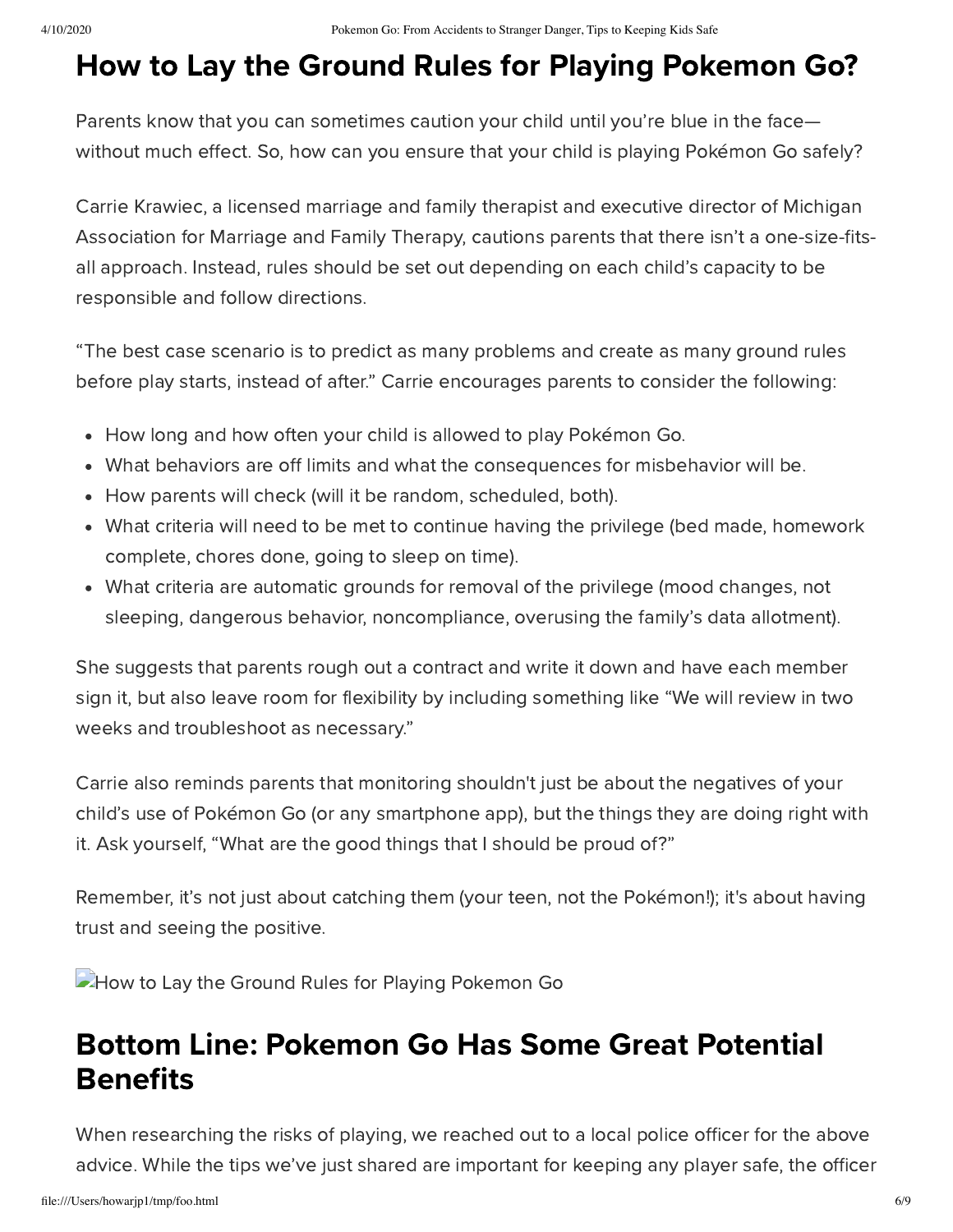# How to Lay the Ground Rules for Playing Pokemon Go?

Parents know that you can sometimes caution your child until you're blue in the face without much effect. So, how can you ensure that your child is playing Pokémon Go safely?

Carrie Krawiec, a licensed marriage and family therapist and executive director of Michigan Association for Marriage and Family Therapy, cautions parents that there isn't a one-size-fitsall approach. Instead, rules should be set out depending on each child's capacity to be responsible and follow directions.

"The best case scenario is to predict as many problems and create as many ground rules before play starts, instead of after." Carrie encourages parents to consider the following:

- How long and how often your child is allowed to play Pokémon Go.
- What behaviors are off limits and what the consequences for misbehavior will be.
- How parents will check (will it be random, scheduled, both).
- What criteria will need to be met to continue having the privilege (bed made, homework complete, chores done, going to sleep on time).
- What criteria are automatic grounds for removal of the privilege (mood changes, not sleeping, dangerous behavior, noncompliance, overusing the family's data allotment).

She suggests that parents rough out a contract and write it down and have each member sign it, but also leave room for flexibility by including something like "We will review in two weeks and troubleshoot as necessary."

Carrie also reminds parents that monitoring shouldn't just be about the negatives of your child's use of Pokémon Go (or any smartphone app), but the things they are doing right with it. Ask yourself, "What are the good things that I should be proud of?"

Remember, it's not just about catching them (your teen, not the Pokémon!); it's about having trust and seeing the positive.

How to Lay the Ground Rules for Playing Pokemon Go

## Bottom Line: Pokemon Go Has Some Great Potential **Benefits**

When researching the risks of playing, we reached out to a local police officer for the above advice. While the tips we've just shared are important for keeping any player safe, the officer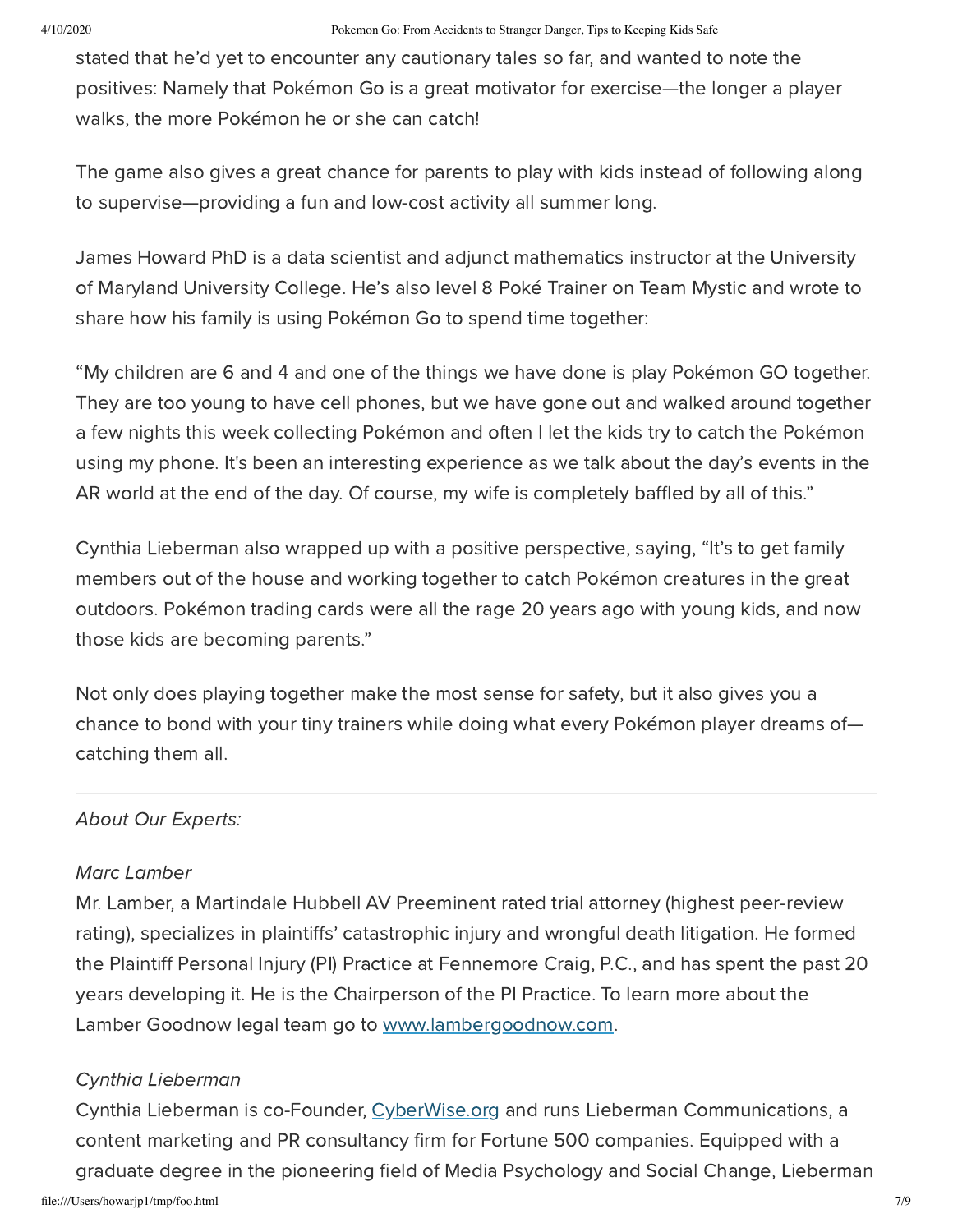stated that he'd yet to encounter any cautionary tales so far, and wanted to note the positives: Namely that Pokémon Go is a great motivator for exercise—the longer a player walks, the more Pokémon he or she can catch!

The game also gives a great chance for parents to play with kids instead of following along to supervise—providing a fun and low-cost activity all summer long.

James Howard PhD is a data scientist and adjunct mathematics instructor at the University of Maryland University College. He's also level 8 Poké Trainer on Team Mystic and wrote to share how his family is using Pokémon Go to spend time together:

"My children are 6 and 4 and one of the things we have done is play Pokémon GO together. They are too young to have cell phones, but we have gone out and walked around together a few nights this week collecting Pokémon and often I let the kids try to catch the Pokémon using my phone. It's been an interesting experience as we talk about the day's events in the AR world at the end of the day. Of course, my wife is completely baffled by all of this."

Cynthia Lieberman also wrapped up with a positive perspective, saying, "It's to get family members out of the house and working together to catch Pokémon creatures in the great outdoors. Pokémon trading cards were all the rage 20 years ago with young kids, and now those kids are becoming parents."

Not only does playing together make the most sense for safety, but it also gives you a chance to bond with your tiny trainers while doing what every Pokémon player dreams of catching them all.

#### About Our Experts:

#### Marc Lamber

Mr. Lamber, a Martindale Hubbell AV Preeminent rated trial attorney (highest peer-review rating), specializes in plaintiffs' catastrophic injury and wrongful death litigation. He formed the Plaintiff Personal Injury (PI) Practice at Fennemore Craig, P.C., and has spent the past 20 years developing it. He is the Chairperson of the PI Practice. To learn more about the Lamber Goodnow legal team go to [www.lambergoodnow.com](https://lambergoodnow.com/).

#### Cynthia Lieberman

file:///Users/howarjp1/tmp/foo.html 7/9 Cynthia Lieberman is co-Founder, [CyberWise.org](https://www.cyberwise.org/) and runs Lieberman Communications, a content marketing and PR consultancy firm for Fortune 500 companies. Equipped with a graduate degree in the pioneering field of Media Psychology and Social Change, Lieberman